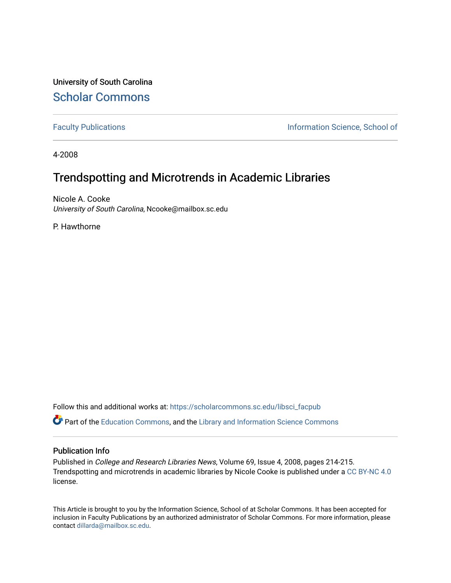University of South Carolina [Scholar Commons](https://scholarcommons.sc.edu/) 

[Faculty Publications](https://scholarcommons.sc.edu/libsci_facpub) **Information Science, School of Information Science**, School of

4-2008

## Trendspotting and Microtrends in Academic Libraries

Nicole A. Cooke University of South Carolina, Ncooke@mailbox.sc.edu

P. Hawthorne

Follow this and additional works at: [https://scholarcommons.sc.edu/libsci\\_facpub](https://scholarcommons.sc.edu/libsci_facpub?utm_source=scholarcommons.sc.edu%2Flibsci_facpub%2F334&utm_medium=PDF&utm_campaign=PDFCoverPages) 

Part of the [Education Commons](http://network.bepress.com/hgg/discipline/784?utm_source=scholarcommons.sc.edu%2Flibsci_facpub%2F334&utm_medium=PDF&utm_campaign=PDFCoverPages), and the [Library and Information Science Commons](http://network.bepress.com/hgg/discipline/1018?utm_source=scholarcommons.sc.edu%2Flibsci_facpub%2F334&utm_medium=PDF&utm_campaign=PDFCoverPages) 

#### Publication Info

Published in College and Research Libraries News, Volume 69, Issue 4, 2008, pages 214-215. Trendspotting and microtrends in academic libraries by Nicole Cooke is published under a [CC BY-NC 4.0](https://creativecommons.org/licenses/by-nc/4.0/) license.

This Article is brought to you by the Information Science, School of at Scholar Commons. It has been accepted for inclusion in Faculty Publications by an authorized administrator of Scholar Commons. For more information, please contact [dillarda@mailbox.sc.edu.](mailto:dillarda@mailbox.sc.edu)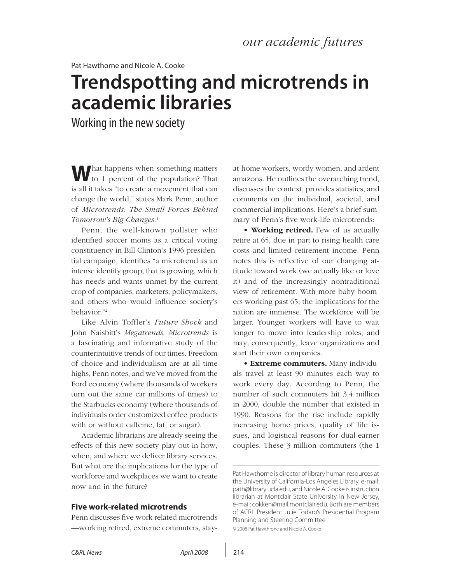Pat Hawthorne and Nicole A. Cooke

# **Trendspotting and microtrends in academic libraries**

Working in the new society

**W**hat happens when something matters to 1 percent of the population? That is all it takes "to create a movement that can change the world," states Mark Penn, author of *Microtrends: The Small Forces Behind Tomorrow's Big Changes.*<sup>1</sup>

Penn, the well-known pollster who identified soccer moms as a critical voting constituency in Bill Clinton's 1996 presidential campaign, identifies "a microtrend as an intense identify group, that is growing, which has needs and wants unmet by the current crop of companies, marketers, policymakers, and others who would influence society's behavior."2

Like Alvin Toffler's *Future Shock* and John Naisbitt's *Megatrends, Microtrends* is a fascinating and informative study of the counterintuitive trends of our times. Freedom of choice and individualism are at all time highs, Penn notes, and we've moved from the Ford economy (where thousands of workers turn out the same car millions of times) to the Starbucks economy (where thousands of individuals order customized coffee products with or without caffeine, fat, or sugar).

Academic librarians are already seeing the effects of this new society play out in how, when, and where we deliver library services. But what are the implications for the type of workforce and workplaces we want to create now and in the future?

#### **Five work-related microtrends**

Penn discusses five work related microtrends —working retired, extreme commuters, stayat-home workers, wordy women, and ardent amazons. He outlines the overarching trend, discusses the context, provides statistics, and comments on the individual, societal, and commercial implications. Here's a brief summary of Penn's five work-life microtrends:

• **Working retired.** Few of us actually retire at 65, due in part to rising health care costs and limited retirement income. Penn notes this is reflective of our changing attitude toward work (we actually like or love it) and of the increasingly nontraditional view of retirement. With more baby boomers working past 65, the implications for the nation are immense. The workforce will be larger. Younger workers will have to wait longer to move into leadership roles, and may, consequently, leave organizations and start their own companies.

• **Extreme commuters.** Many individuals travel at least 90 minutes each way to work every day. According to Penn, the number of such commuters hit 3.4 million in 2000, double the number that existed in 1990. Reasons for the rise include rapidly increasing home prices, quality of life issues, and logistical reasons for dual-earner couples. These 3 million commuters (the 1

© 2008 Pat Hawthrone and Nicole A. Cooke

Pat Hawthorne is director of library human resources at the University of California-Los Angeles Library, e-mail: path@library.ucla.edu, and Nicole A. Cooke is instruction librarian at Montclair State University in New Jersey, e-mail: cokken@mail.montclair.edu. Both are members of ACRL President Julie Todaro's Presidential Program Planning and Steering Committee